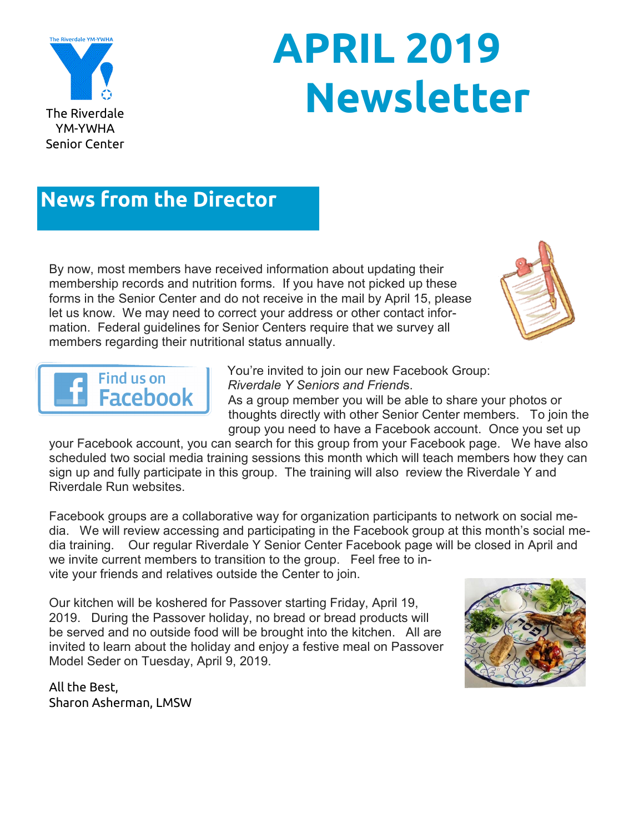

# **APRIL 2019 The Riverdale**

## **News from the Director**

By now, most members have received information about updating their membership records and nutrition forms. If you have not picked up these forms in the Senior Center and do not receive in the mail by April 15, please let us know. We may need to correct your address or other contact information. Federal guidelines for Senior Centers require that we survey all members regarding their nutritional status annually.





You're invited to join our new Facebook Group: *Riverdale Y Seniors and Friend*s.

As a group member you will be able to share your photos or thoughts directly with other Senior Center members. To join the group you need to have a Facebook account. Once you set up

your Facebook account, you can search for this group from your Facebook page. We have also scheduled two social media training sessions this month which will teach members how they can sign up and fully participate in this group. The training will also review the Riverdale Y and Riverdale Run websites.

Facebook groups are a collaborative way for organization participants to network on social media. We will review accessing and participating in the Facebook group at this month's social media training. Our regular Riverdale Y Senior Center Facebook page will be closed in April and we invite current members to transition to the group. Feel free to invite your friends and relatives outside the Center to join.

Our kitchen will be koshered for Passover starting Friday, April 19, 2019. During the Passover holiday, no bread or bread products will be served and no outside food will be brought into the kitchen. All are invited to learn about the holiday and enjoy a festive meal on Passover Model Seder on Tuesday, April 9, 2019.



All the Best, Sharon Asherman, LMSW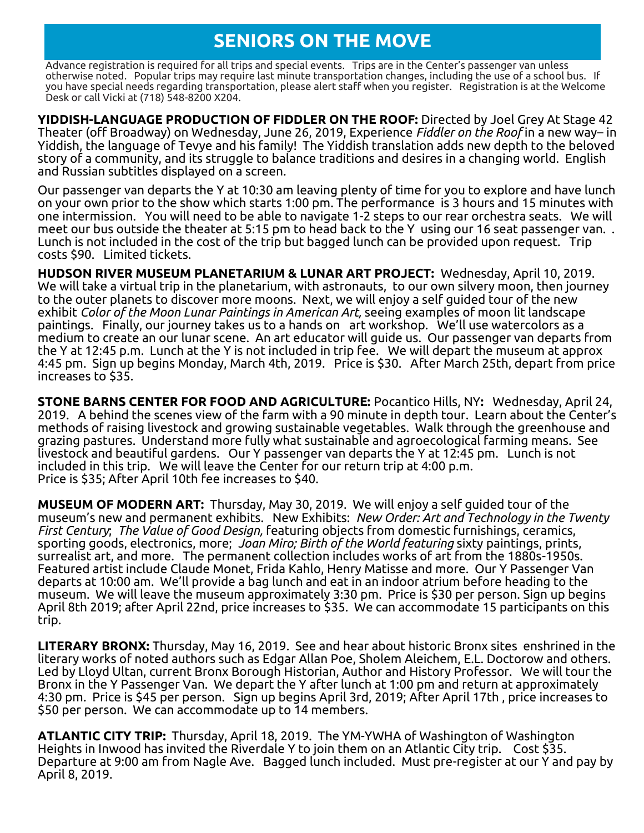## **SENIORS ON THE MOVE**

Advance registration is required for all trips and special events. Trips are in the Center's passenger van unless otherwise noted. Popular trips may require last minute transportation changes, including the use of a school bus. If you have special needs regarding transportation, please alert staff when you register. Registration is at the Welcome Desk or call Vicki at (718) 548-8200 X204.

**YIDDISH-LANGUAGE PRODUCTION OF FIDDLER ON THE ROOF:** Directed by Joel Grey At Stage 42 Theater (off Broadway) on Wednesday, June 26, 2019, Experience *Fiddler on the Roof* in a new way– in Yiddish, the language of Tevye and his family! The Yiddish translation adds new depth to the beloved story of a community, and its struggle to balance traditions and desires in a changing world. English and Russian subtitles displayed on a screen.

Our passenger van departs the Y at 10:30 am leaving plenty of time for you to explore and have lunch on your own prior to the show which starts 1:00 pm. The performance is 3 hours and 15 minutes with one intermission. You will need to be able to navigate 1-2 steps to our rear orchestra seats. We will meet our bus outside the theater at 5:15 pm to head back to the Y using our 16 seat passenger van. . Lunch is not included in the cost of the trip but bagged lunch can be provided upon request. Trip costs \$90. Limited tickets.

**HUDSON RIVER MUSEUM PLANETARIUM & LUNAR ART PROJECT:** Wednesday, April 10, 2019. We will take a virtual trip in the planetarium, with astronauts, to our own silvery moon, then journey to the outer planets to discover more moons. Next, we will enjoy a self guided tour of the new exhibit *Color of the Moon Lunar Paintings in American Art,* seeing examples of moon lit landscape paintings. Finally, our journey takes us to a hands on art workshop. We'll use watercolors as a medium to create an our lunar scene. An art educator will guide us. Our passenger van departs from the Y at 12:45 p.m. Lunch at the Y is not included in trip fee. We will depart the museum at approx 4:45 pm. Sign up begins Monday, March 4th, 2019. Price is \$30. After March 25th, depart from price increases to \$35.

**STONE BARNS CENTER FOR FOOD AND AGRICULTURE:** Pocantico Hills, NY**:** Wednesday, April 24, 2019. A behind the scenes view of the farm with a 90 minute in depth tour. Learn about the Center's methods of raising livestock and growing sustainable vegetables. Walk through the greenhouse and grazing pastures. Understand more fully what sustainable and agroecological farming means. See livestock and beautiful gardens. Our Y passenger van departs the Y at 12:45 pm. Lunch is not included in this trip. We will leave the Center for our return trip at 4:00 p.m. Price is \$35; After April 10th fee increases to \$40.

**MUSEUM OF MODERN ART:** Thursday, May 30, 2019. We will enjoy a self guided tour of the museum's new and permanent exhibits. New Exhibits: *New Order: Art and Technology in the Twenty First Century*; *The Value of Good Design,* featuring objects from domestic furnishings, ceramics, sporting goods, electronics, more; *Joan Miro; Birth of the World featuring* sixty paintings, prints, surrealist art, and more. The permanent collection includes works of art from the 1880s-1950s. Featured artist include Claude Monet, Frida Kahlo, Henry Matisse and more. Our Y Passenger Van departs at 10:00 am. We'll provide a bag lunch and eat in an indoor atrium before heading to the museum. We will leave the museum approximately 3:30 pm. Price is \$30 per person. Sign up begins April 8th 2019; after April 22nd, price increases to \$35. We can accommodate 15 participants on this trip.

**LITERARY BRONX:** Thursday, May 16, 2019. See and hear about historic Bronx sites enshrined in the literary works of noted authors such as Edgar Allan Poe, Sholem Aleichem, E.L. Doctorow and others. Led by Lloyd Ultan, current Bronx Borough Historian, Author and History Professor. We will tour the Bronx in the Y Passenger Van. We depart the Y after lunch at 1:00 pm and return at approximately 4:30 pm. Price is \$45 per person. Sign up begins April 3rd, 2019; After April 17th , price increases to \$50 per person. We can accommodate up to 14 members.

**ATLANTIC CITY TRIP:** Thursday, April 18, 2019. The YM-YWHA of Washington of Washington Heights in Inwood has invited the Riverdale Y to join them on an Atlantic City trip. Cost \$35. Departure at 9:00 am from Nagle Ave. Bagged lunch included. Must pre-register at our Y and pay by April 8, 2019.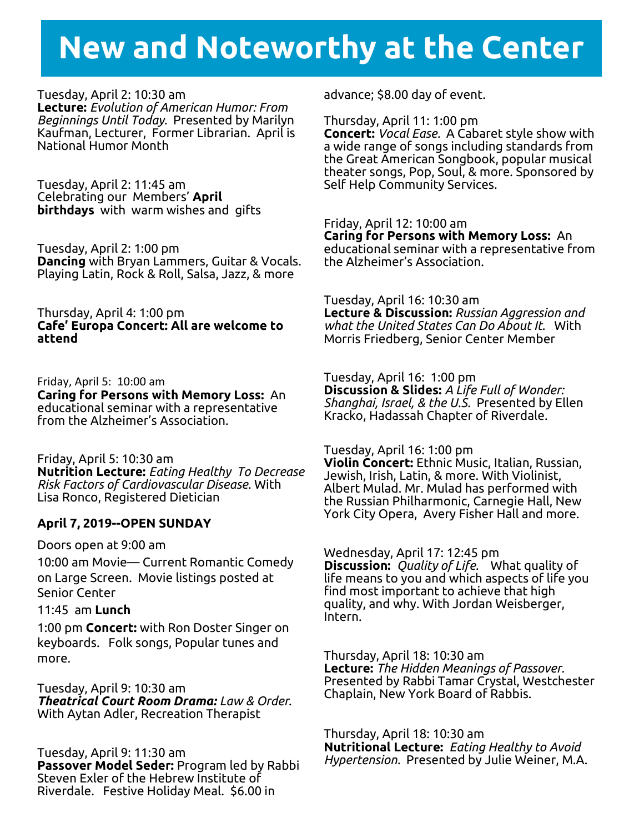# **New and Noteworthy at the Center**

#### Tuesday, April 2: 10:30 am

**Lecture:** *Evolution of American Humor: From Beginnings Until Today.* Presented by Marilyn Kaufman, Lecturer, Former Librarian. April is National Humor Month

Tuesday, April 2: 11:45 am Celebrating our Members' **April birthdays** with warm wishes and gifts

Tuesday, April 2: 1:00 pm **Dancing** with Bryan Lammers, Guitar & Vocals. Playing Latin, Rock & Roll, Salsa, Jazz, & more

Thursday, April 4: 1:00 pm **Cafe' Europa Concert: All are welcome to attend**

Friday, April 5: 10:00 am **Caring for Persons with Memory Loss:** An educational seminar with a representative from the Alzheimer's Association.

Friday, April 5: 10:30 am **Nutrition Lecture:** *Eating Healthy To Decrease Risk Factors of Cardiovascular Disease*. With Lisa Ronco, Registered Dietician

#### **April 7, 2019--OPEN SUNDAY**

Doors open at 9:00 am

10:00 am Movie— Current Romantic Comedy on Large Screen. Movie listings posted at Senior Center

11:45 am **Lunch**

1:00 pm **Concert:** with Ron Doster Singer on keyboards. Folk songs, Popular tunes and more.

Tuesday, April 9: 10:30 am *Theatrical Court Room Drama: Law & Order*. With Aytan Adler, Recreation Therapist

Tuesday, April 9: 11:30 am **Passover Model Seder:** Program led by Rabbi Steven Exler of the Hebrew Institute of Riverdale. Festive Holiday Meal. \$6.00 in

advance; \$8.00 day of event.

Thursday, April 11: 1:00 pm **Concert:** *Vocal Ease.* A Cabaret style show with a wide range of songs including standards from the Great American Songbook, popular musical theater songs, Pop, Soul, & more. Sponsored by Self Help Community Services.

Friday, April 12: 10:00 am **Caring for Persons with Memory Loss:** An educational seminar with a representative from the Alzheimer's Association.

Tuesday, April 16: 10:30 am **Lecture & Discussion:** *Russian Aggression and what the United States Can Do About It.* With Morris Friedberg, Senior Center Member

Tuesday, April 16: 1:00 pm **Discussion & Slides:** *A Life Full of Wonder: Shanghai, Israel, & the U.S.* Presented by Ellen Kracko, Hadassah Chapter of Riverdale.

Tuesday, April 16: 1:00 pm **Violin Concert:** Ethnic Music, Italian, Russian, Jewish, Irish, Latin, & more. With Violinist, Albert Mulad. Mr. Mulad has performed with the Russian Philharmonic, Carnegie Hall, New York City Opera, Avery Fisher Hall and more.

Wednesday, April 17: 12:45 pm **Discussion:** *Quality of Life.* What quality of life means to you and which aspects of life you find most important to achieve that high quality, and why. With Jordan Weisberger, Intern.

Thursday, April 18: 10:30 am **Lecture:** *The Hidden Meanings of Passover.* Presented by Rabbi Tamar Crystal, Westchester Chaplain, New York Board of Rabbis.

Thursday, April 18: 10:30 am **Nutritional Lecture:** *Eating Healthy to Avoid Hypertension.* Presented by Julie Weiner, M.A.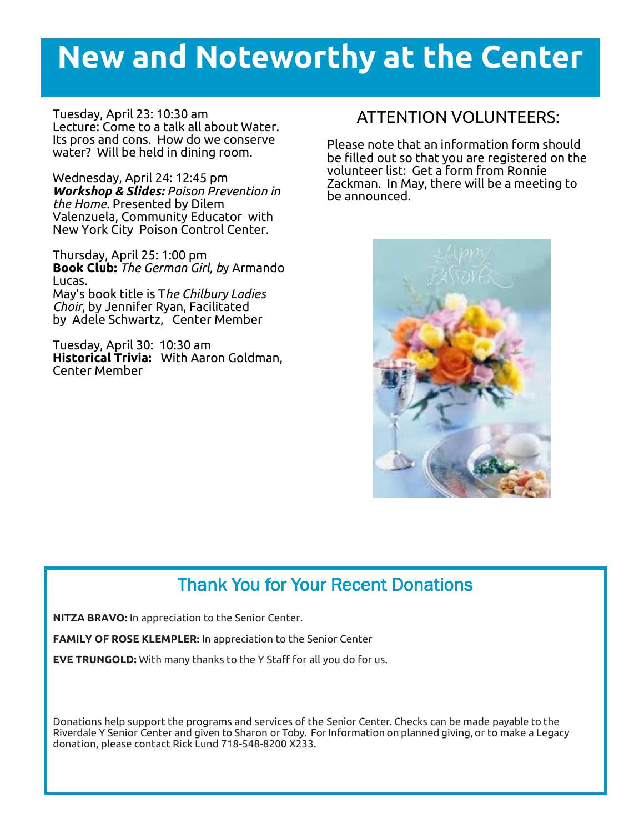## **New and Noteworthy at the Center**

Tuesday, April 23: 10:30 am Lecture: Come to a talk all about Water. Its pros and cons. How do we conserve water? Will be held in dining room.

Wednesday, April 24: 12:45 pm *Workshop & Slides: Poison Prevention in the Home.* Presented by Dilem Valenzuela, Community Educator with New York City Poison Control Center.

Thursday, April 25: 1:00 pm **Book Club:** *The German Girl, b*y Armando Lucas. May's book title is T*he Chilbury Ladies Choir*, by Jennifer Ryan, Facilitated by Adele Schwartz, Center Member

Tuesday, April 30: 10:30 am **Historical Trivia:** With Aaron Goldman, Center Member

### ATTENTION VOLUNTEERS:

Please note that an information form should be filled out so that you are registered on the volunteer list: Get a form from Ronnie Zackman. In May, there will be a meeting to be announced.



## Thank You for Your Recent Donations

**NITZA BRAVO:** In appreciation to the Senior Center.

**FAMILY OF ROSE KLEMPLER:** In appreciation to the Senior Center

**EVE TRUNGOLD:** With many thanks to the Y Staff for all you do for us.

Donations help support the programs and services of the Senior Center. Checks can be made payable to the Riverdale Y Senior Center and given to Sharon or Toby. For Information on planned giving, or to make a Legacy donation, please contact Rick Lund 718-548-8200 X233.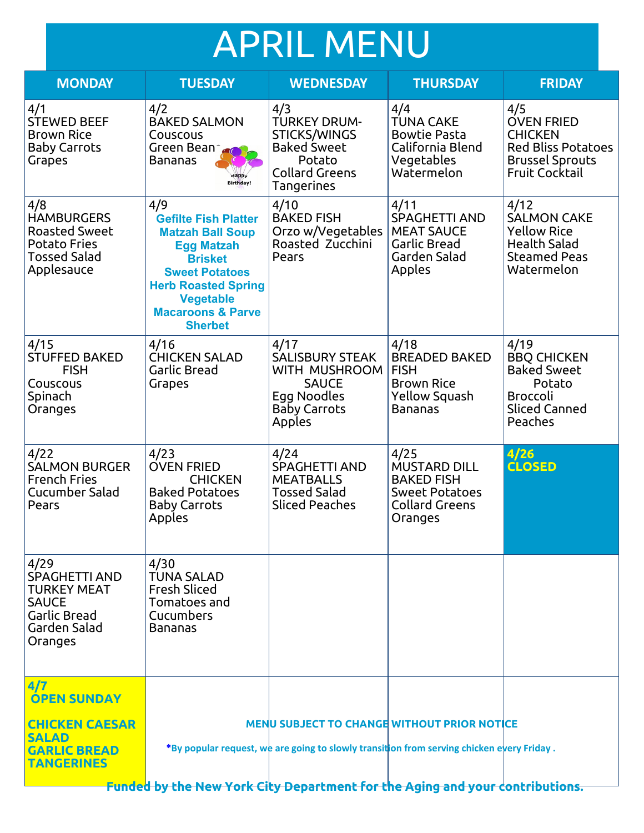# APRIL MENU

| <b>MONDAY</b>                                                                                                        | <b>TUESDAY</b>                                                                                                                                                                                                                    | <b>WEDNESDAY</b>                                                                                                         | <b>THURSDAY</b>                                                                                               | <b>FRIDAY</b>                                                                                                              |
|----------------------------------------------------------------------------------------------------------------------|-----------------------------------------------------------------------------------------------------------------------------------------------------------------------------------------------------------------------------------|--------------------------------------------------------------------------------------------------------------------------|---------------------------------------------------------------------------------------------------------------|----------------------------------------------------------------------------------------------------------------------------|
| 4/1<br><b>STEWED BEEF</b><br><b>Brown Rice</b><br><b>Baby Carrots</b><br>Grapes                                      | 4/2<br><b>BAKED SALMON</b><br>Couscous<br>Green Bean<br>Bananas<br><b>Birthday!</b>                                                                                                                                               | 4/3<br><b>TURKEY DRUM-</b><br>STICKS/WINGS<br><b>Baked Sweet</b><br>Potato<br><b>Collard Greens</b><br><b>Tangerines</b> | 4/4<br><b>TUNA CAKE</b><br><b>Bowtie Pasta</b><br>California Blend<br>Vegetables<br>Watermelon                | 4/5<br><b>OVEN FRIED</b><br><b>CHICKEN</b><br><b>Red Bliss Potatoes</b><br><b>Brussel Sprouts</b><br><b>Fruit Cocktail</b> |
| 4/8<br><b>HAMBURGERS</b><br><b>Roasted Sweet</b><br><b>Potato Fries</b><br><b>Tossed Salad</b><br>Applesauce         | 4/9<br><b>Gefilte Fish Platter</b><br><b>Matzah Ball Soup</b><br><b>Egg Matzah</b><br><b>Brisket</b><br><b>Sweet Potatoes</b><br><b>Herb Roasted Spring</b><br><b>Vegetable</b><br><b>Macaroons &amp; Parve</b><br><b>Sherbet</b> | 4/10<br><b>BAKED FISH</b><br>Orzo w/Vegetables<br>Roasted Zucchini<br>Pears                                              | 4/11<br><b>SPAGHETTI AND</b><br><b>MEAT SAUCE</b><br>Garlic Bread<br>Garden Salad<br>Apples                   | 4/12<br><b>SALMON CAKE</b><br><b>Yellow Rice</b><br><b>Health Salad</b><br><b>Steamed Peas</b><br>Watermelon               |
| 4/15<br><b>STUFFED BAKED</b><br><b>FISH</b><br>Couscous<br>Spinach<br>Oranges                                        | 4/16<br><b>CHICKEN SALAD</b><br><b>Garlic Bread</b><br>Grapes                                                                                                                                                                     | 4/17<br><b>SALISBURY STEAK</b><br>WITH MUSHROOM<br><b>SAUCE</b><br>Egg Noodles<br><b>Baby Carrots</b><br>Apples          | 4/18<br><b>BREADED BAKED</b><br><b>FISH</b><br><b>Brown Rice</b><br>Yellow Squash<br><b>Bananas</b>           | 4/19<br><b>BBQ CHICKEN</b><br><b>Baked Sweet</b><br>Potato<br><b>Broccoli</b><br><b>Sliced Canned</b><br>Peaches           |
| 4/22<br><b>SALMON BURGER</b><br><b>French Fries</b><br>Cucumber Salad<br>Pears                                       | 4/23<br><b>OVEN FRIED</b><br><b>CHICKEN</b><br><b>Baked Potatoes</b><br><b>Baby Carrots</b><br>Apples                                                                                                                             | 4/24<br><b>SPAGHETTI AND</b><br><b>MEATBALLS</b><br><b>Tossed Salad</b><br><b>Sliced Peaches</b>                         | 4/25<br><b>MUSTARD DILL</b><br><b>BAKED FISH</b><br><b>Sweet Potatoes</b><br><b>Collard Greens</b><br>Oranges | 4/26<br><b>CLOSED</b>                                                                                                      |
| 4/29<br><b>SPAGHETTI AND</b><br><b>TURKEY MEAT</b><br><b>SAUCE</b><br><b>Garlic Bread</b><br>Garden Salad<br>Oranges | 4/30<br><b>TUNA SALAD</b><br><b>Fresh Sliced</b><br>Tomatoes and<br>Cucumbers<br><b>Bananas</b>                                                                                                                                   |                                                                                                                          |                                                                                                               |                                                                                                                            |
| 4/7<br><b>OPEN SUNDAY</b>                                                                                            |                                                                                                                                                                                                                                   |                                                                                                                          |                                                                                                               |                                                                                                                            |
| <b>CHICKEN CAESAR</b><br><b>SALAD</b>                                                                                |                                                                                                                                                                                                                                   | MENU SUBJECT TO CHANGE WITHOUT PRIOR NOTICE                                                                              |                                                                                                               |                                                                                                                            |
| <b>GARLIC BREAD</b><br><b>TANGERINES</b>                                                                             |                                                                                                                                                                                                                                   | *By popular request, we are going to slowly transition from serving chicken every Friday.                                |                                                                                                               |                                                                                                                            |

**Funded by the New York City Department for the Aging and your contributions.**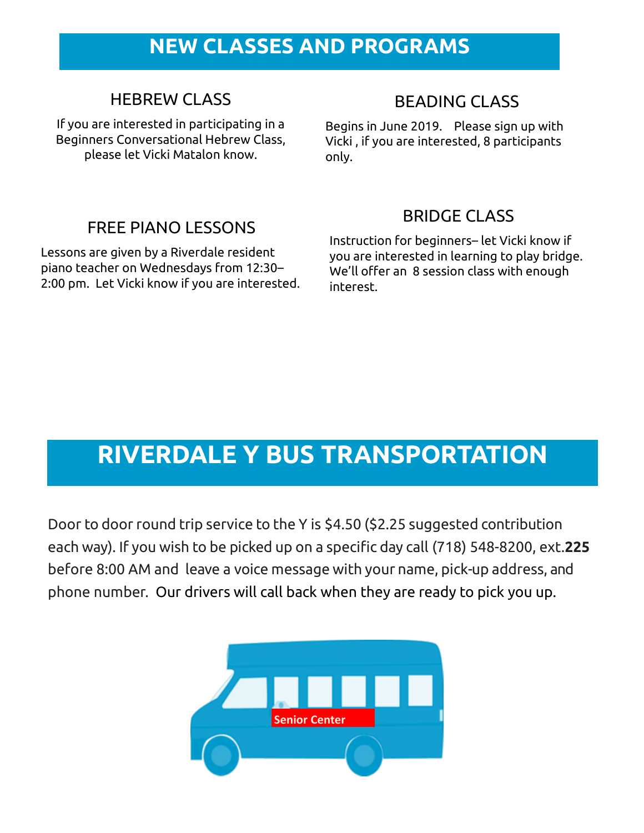## **NEW CLASSES AND PROGRAMS**

## HEBREW CLASS

If you are interested in participating in a Beginners Conversational Hebrew Class, please let Vicki Matalon know.

## BEADING CLASS

Begins in June 2019. Please sign up with Vicki , if you are interested, 8 participants only.

## FREE PIANO LESSONS

Lessons are given by a Riverdale resident piano teacher on Wednesdays from 12:30– 2:00 pm. Let Vicki know if you are interested.

## BRIDGE CLASS

Instruction for beginners– let Vicki know if you are interested in learning to play bridge. We'll offer an 8 session class with enough interest.

## **RIVERDALE Y BUS TRANSPORTATION**

Door to door round trip service to the Y is \$4.50 (\$2.25 suggested contribution each way). If you wish to be picked up on a specific day call (718) 548-8200, ext.**225**  before 8:00 AM and leave a voice message with your name, pick-up address, and phone number. Our drivers will call back when they are ready to pick you up.

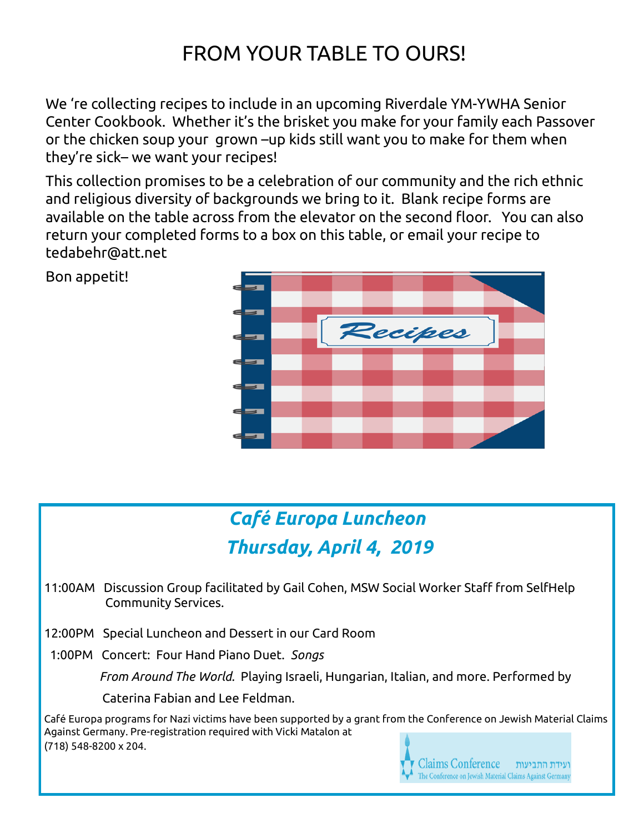## FROM YOUR TABLE TO OURS!

We 're collecting recipes to include in an upcoming Riverdale YM-YWHA Senior Center Cookbook. Whether it's the brisket you make for your family each Passover or the chicken soup your grown –up kids still want you to make for them when they're sick– we want your recipes!

This collection promises to be a celebration of our community and the rich ethnic and religious diversity of backgrounds we bring to it. Blank recipe forms are available on the table across from the elevator on the second floor. You can also return your completed forms to a box on this table, or email your recipe to tedabehr@att.net

Bon appetit!



## *Café Europa Luncheon Thursday, April 4, 2019*

- 11:00AM Discussion Group facilitated by Gail Cohen, MSW Social Worker Staff from SelfHelp Community Services.
- 12:00PM Special Luncheon and Dessert in our Card Room
- 1:00PM Concert: Four Hand Piano Duet. *Songs*

 *From Around The World.* Playing Israeli, Hungarian, Italian, and more. Performed by

Caterina Fabian and Lee Feldman.

Café Europa programs for Nazi victims have been supported by a grant from the Conference on Jewish Material Claims Against Germany. Pre-registration required with Vicki Matalon at (718) 548-8200 x 204.

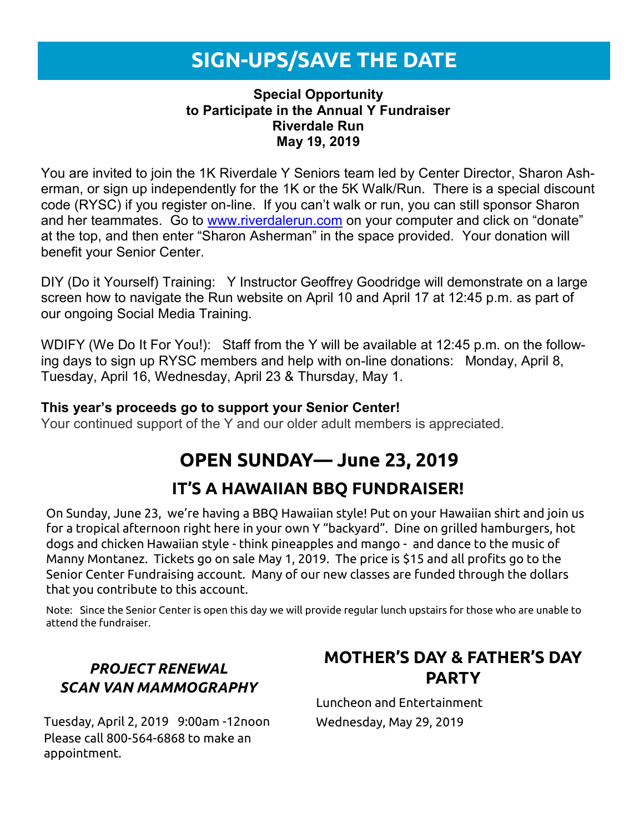## **SIGN-UPS/SAVE THE DATE**

#### **Special Opportunity to Participate in the Annual Y Fundraiser Riverdale Run May 19, 2019**

You are invited to join the 1K Riverdale Y Seniors team led by Center Director, Sharon Asherman, or sign up independently for the 1K or the 5K Walk/Run. There is a special discount code (RYSC) if you register on-line. If you can't walk or run, you can still sponsor Sharon and her teammates. Go to [www.riverdalerun.com](http://www.riverdalerun.com/) on your computer and click on "donate" at the top, and then enter "Sharon Asherman" in the space provided. Your donation will benefit your Senior Center.

DIY (Do it Yourself) Training: Y Instructor Geoffrey Goodridge will demonstrate on a large screen how to navigate the Run website on April 10 and April 17 at 12:45 p.m. as part of our ongoing Social Media Training.

WDIFY (We Do It For You!): Staff from the Y will be available at 12:45 p.m. on the following days to sign up RYSC members and help with on-line donations: Monday, April 8, Tuesday, April 16, Wednesday, April 23 & Thursday, May 1.

#### **This year's proceeds go to support your Senior Center!**

Your continued support of the Y and our older adult members is appreciated.

## **OPEN SUNDAY— June 23, 2019**

## **IT'S A HAWAIIAN BBQ FUNDRAISER!**

On Sunday, June 23, we're having a BBQ Hawaiian style! Put on your Hawaiian shirt and join us for a tropical afternoon right here in your own Y "backyard". Dine on grilled hamburgers, hot dogs and chicken Hawaiian style - think pineapples and mango - and dance to the music of Manny Montanez. Tickets go on sale May 1, 2019. The price is \$15 and all profits go to the Senior Center Fundraising account. Many of our new classes are funded through the dollars that you contribute to this account.

Note: Since the Senior Center is open this day we will provide regular lunch upstairs for those who are unable to attend the fundraiser.

#### *PROJECT RENEWAL SCAN VAN MAMMOGRAPHY*

Tuesday, April 2, 2019 9:00am -12noon Please call 800-564-6868 to make an appointment.

## **MOTHER'S DAY & FATHER'S DAY PARTY**

Luncheon and Entertainment Wednesday, May 29, 2019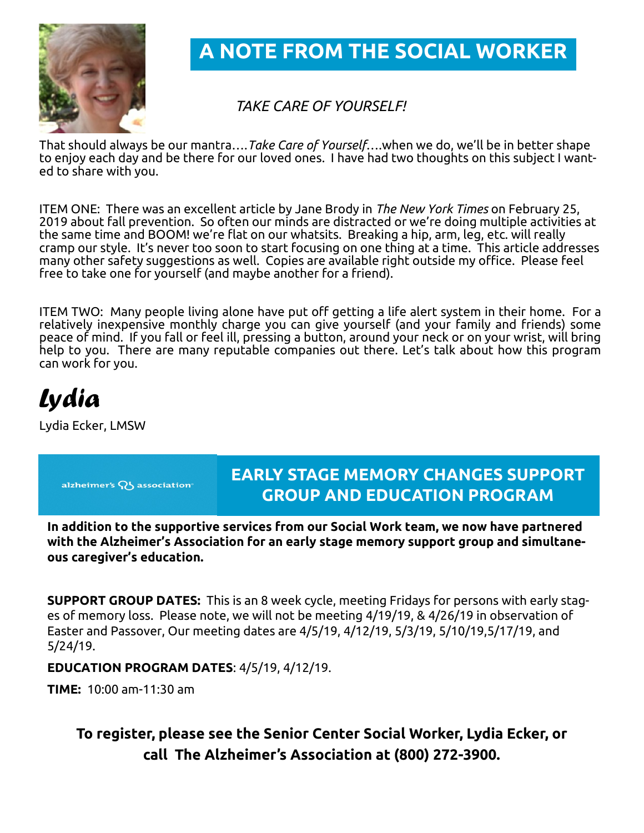

**A NOTE FROM THE SOCIAL WORKER**

#### *TAKE CARE OF YOURSELF!*

That should always be our mantra….*Take Care of Yourself*….when we do, we'll be in better shape to enjoy each day and be there for our loved ones. I have had two thoughts on this subject I wanted to share with you.

ITEM ONE: There was an excellent article by Jane Brody in *The New York Times* on February 25, 2019 about fall prevention. So often our minds are distracted or we're doing multiple activities at the same time and BOOM! we're flat on our whatsits. Breaking a hip, arm, leg, etc. will really cramp our style. It's never too soon to start focusing on one thing at a time. This article addresses many other safety suggestions as well. Copies are available right outside my office. Please feel free to take one for yourself (and maybe another for a friend).

ITEM TWO: Many people living alone have put off getting a life alert system in their home. For a relatively inexpensive monthly charge you can give yourself (and your family and friends) some peace of mind. If you fall or feel ill, pressing a button, around your neck or on your wrist, will bring help to you. There are many reputable companies out there. Let's talk about how this program can work for you.

*Lydia*

Lydia Ecker, LMSW

alzheimer's Q5 association<sup>®</sup>

## **EARLY STAGE MEMORY CHANGES SUPPORT GROUP AND EDUCATION PROGRAM**

**In addition to the supportive services from our Social Work team, we now have partnered with the Alzheimer's Association for an early stage memory support group and simultaneous caregiver's education.** 

**SUPPORT GROUP DATES:** This is an 8 week cycle, meeting Fridays for persons with early stages of memory loss. Please note, we will not be meeting 4/19/19, & 4/26/19 in observation of Easter and Passover, Our meeting dates are 4/5/19, 4/12/19, 5/3/19, 5/10/19,5/17/19, and 5/24/19.

**EDUCATION PROGRAM DATES**: 4/5/19, 4/12/19.

**TIME:** 10:00 am-11:30 am

**To register, please see the Senior Center Social Worker, Lydia Ecker, or call The Alzheimer's Association at (800) 272-3900.**